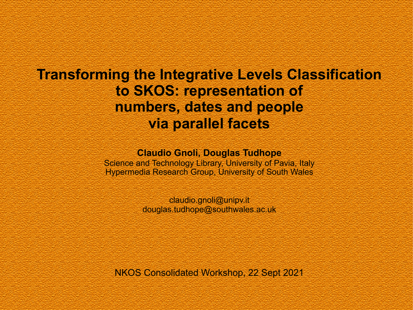## **Transforming the Integrative Levels Classification to SKOS: representation of numbers, dates and people via parallel facets**

### **Claudio Gnoli, Douglas Tudhope**

Science and Technology Library, University of Pavia, Italy Hypermedia Research Group, University of South Wales

> claudio.gnoli@unipv.it douglas.tudhope@southwales.ac.uk

NKOS Consolidated Workshop, 22 Sept 2021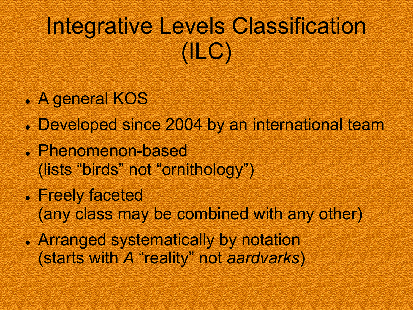# Integrative Levels Classification (ILC)

- . A general KOS
- . Developed since 2004 by an international team
- <sup>l</sup> Phenomenon-based (lists "birds" not "ornithology")
- Freely faceted (any class may be combined with any other)
- **.** Arranged systematically by notation (starts with *A* "reality" not *aardvarks*)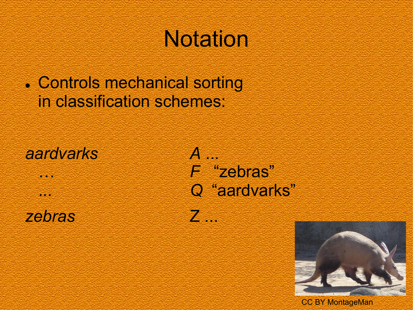# **Notation**

. Controls mechanical sorting in classification schemes:

*aardvarks A* ...

*zebras* Z ...

… *F* "zebras" ... *Q* "aardvarks"



CC BY MontageMan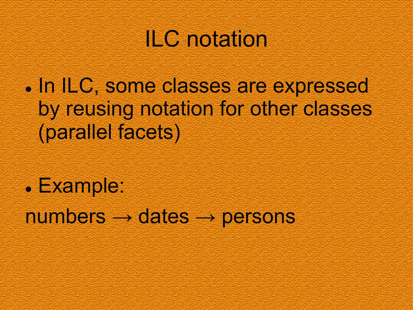# ILC notation

. In ILC, some classes are expressed by reusing notation for other classes (parallel facets)

<sup>l</sup> Example:  $numbers \rightarrow dates \rightarrow persons$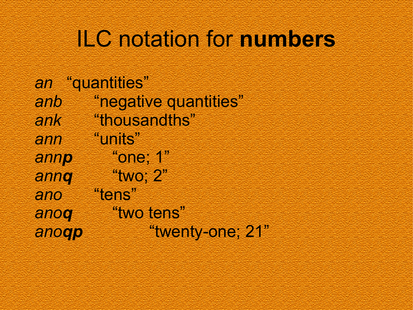# ILC notation for **numbers**

|       | an "quantities"       |
|-------|-----------------------|
| anb   | "negative quantities" |
| ank   | "thousandths"         |
| ann   | "units"               |
| annp  | "one; 1"              |
| annq  | "two; 2"              |
| ano   | "tens"                |
| anoq  | "two tens"            |
| anoqp | "twenty-one; 21"      |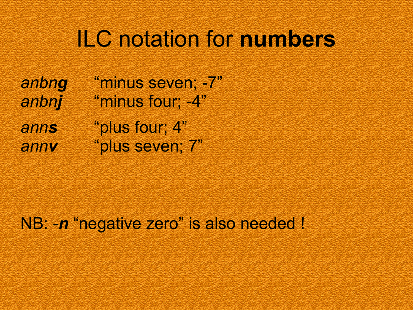## ILC notation for **numbers**

*anbng* "minus seven; -7" *anbnj* "minus four; -4" *anns* "plus four; 4" *annv* "plus seven; 7"

NB: -*n* "negative zero" is also needed !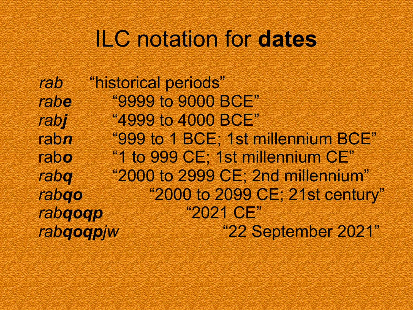# ILC notation for **dates**

*rab* "historical periods" *rabe* "9999 to 9000 BCE" *rabj* "4999 to 4000 BCE" rab*n* "999 to 1 BCE; 1st millennium BCE" rab*o* "1 to 999 CE; 1st millennium CE" *rabq* "2000 to 2999 CE; 2nd millennium" *rabqo* "2000 to 2099 CE; 21st century" *rabqoqp* "2021 CE" *rabqoqpjw* "22 September 2021"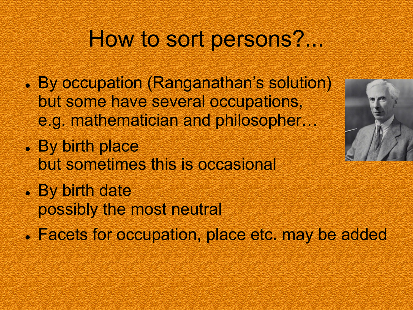# How to sort persons?...

- By occupation (Ranganathan's solution) but some have several occupations, e.g. mathematician and philosopher…
- . By birth place but sometimes this is occasional
- By birth date possibly the most neutral
- . Facets for occupation, place etc. may be added

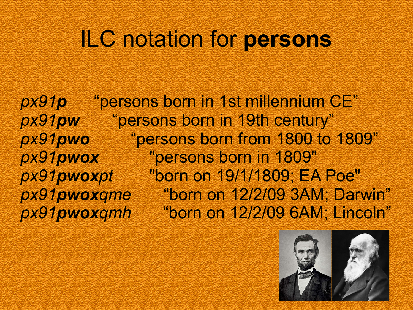## ILC notation for **persons**

*px91p* "persons born in 1st millennium CE" *px91pw* "persons born in 19th century" *px91pwo* "persons born from 1800 to 1809" *px91pwox* "persons born in 1809" *px91pwoxpt* "born on 19/1/1809; EA Poe" *px91pwoxqme* "born on 12/2/09 3AM; Darwin" *px91pwoxqmh* "born on 12/2/09 6AM; Lincoln"

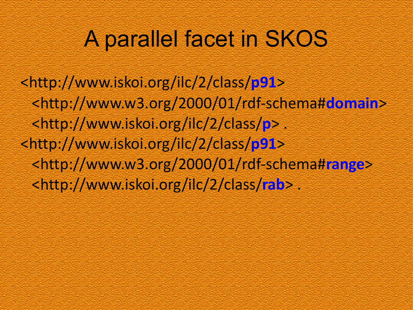# A parallel facet in SKOS

<http://www.iskoi.org/ilc/2/class/**p91**> <http://www.w3.org/2000/01/rdf-schema#**domain**> <http://www.iskoi.org/ilc/2/class/**p**> . <http://www.iskoi.org/ilc/2/class/**p91**> <http://www.w3.org/2000/01/rdf-schema#**range**> <http://www.iskoi.org/ilc/2/class/**rab**> .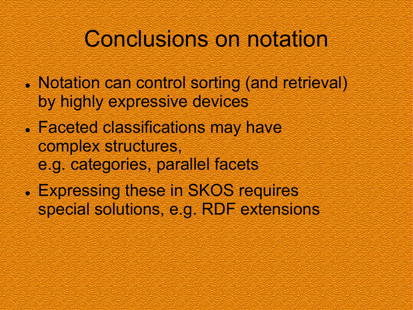## Conclusions on notation

- Notation can control sorting (and retrieval) by highly expressive devices
- Faceted classifications may have complex structures, e.g. categories, parallel facets
- . Expressing these in SKOS requires special solutions, e.g. RDF extensions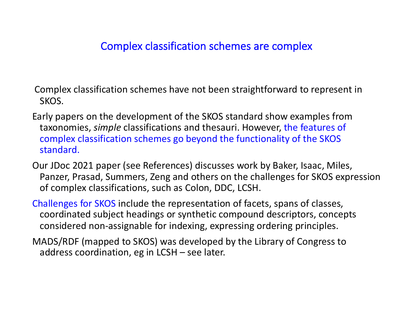### Complex classification schemes are complex

Complex classification schemes have not been straightforward to represent in SKOS.

- Early papers on the development of the SKOS standard show examples from taxonomies, *simple* classifications and thesauri. However, the features of complex classification schemes go beyond the functionality of the SKOS standard.
- Our JDoc 2021 paper (see References) discusses work by Baker, Isaac, Miles, Panzer, Prasad, Summers, Zeng and others on the challenges for SKOS expression of complex classifications, such as Colon, DDC, LCSH.
- Challenges for SKOS include the representation of facets, spans of classes, coordinated subject headings or synthetic compound descriptors, concepts considered non-assignable for indexing, expressing ordering principles.
- MADS/RDF (mapped to SKOS) was developed by the Library of Congress to address coordination, eg in LCSH – see later.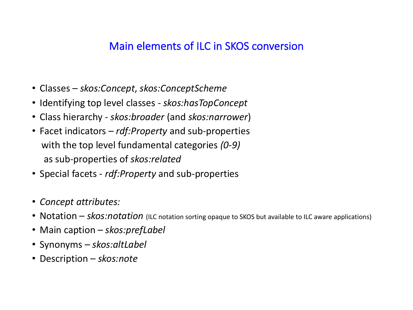## Main elements of ILC in SKOS conversion

- Classes *skos:Concept*, *skos:ConceptScheme*
- Identifying top level classes *skos:hasTopConcept*
- Class hierarchy *skos:broader* (and *skos:narrower*)
- Facet indicators *rdf:Property* and sub-properties with the top level fundamental categories *(0-9)* as sub-properties of *skos:related*
- Special facets *rdf:Property* and sub-properties
- *Concept attributes:*
- Notation *skos:notation* (ILC notation sorting opaque to SKOS but available to ILC aware applications)
- Main caption *skos:prefLabel*
- Synonyms *skos:altLabel*
- Description *skos:note*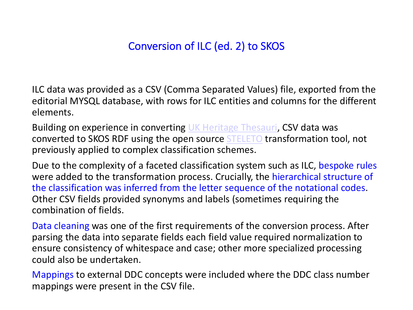## Conversion of ILC (e[d. 2\) to S](https://github.com/cbinding/STELETO/)KOS

ILC data was provided as a CSV (Comma Separated Values) file, export editorial MYSQL database, with rows for ILC entities and columns for elements.

Building on experience in converting UK Heritage Thesauri, CSV data converted to SKOS RDF using the open source STELETO transformati previously applied to complex classification schemes.

Due to the complexity of a faceted classification system such as ILC, were added to the transformation process. Crucially, the hierarchical the classification was inferred from the letter sequence of the notat Other CSV fields provided synonyms and labels (sometimes requirin combination of fields.

Data cleaning was one of the first requirements of the conversion process. parsing the data into separate fields each field value required normal ensure consistency of whitespace and case; other more specialized could also be undertaken.

Mappings to external DDC concepts were included where the DDC c mappings were present in the CSV file.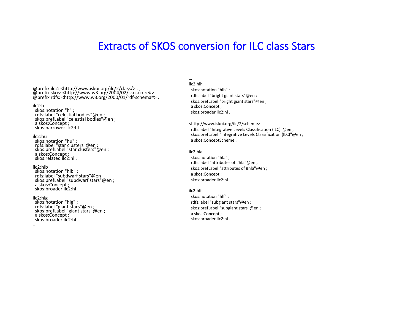### Extracts of SKOS conversion for ILC class Stars

@prefix ilc2: <http://www.iskoi.org/ilc/2/class/> . @prefix skos: <http://www.w3.org/2004/02/skos/core#> . @prefix rdfs: <http://www.w3.org/2000/01/rdf-schema#> .

#### ilc2:h

skos:notation "h" ; rdfs:label "celestial bodies"@en ; skos:prefLabel "celestial bodies"@en ; a skos:Concept ; skos:narrower ilc2:hl .

#### ilc2:hu

skos:notation "hu" ; rdfs:label "star clusters"@en ; skos:prefLabel "star clusters"@en ; a skos:Concept ; skos:related ilc2:hl .

ilc2:hlb

skos:notation "hlb" ; rdfs:label "subdwarf stars"@en ; skos:prefLabel "subdwarf stars"@en ; a skos:Concept ; skos:broader ilc2:hl .

#### ilc2:hlg

...

skos:notation "hlg" ; rdfs:label "giant stars"@en ; skos:prefLabel "giant stars"@en ; a skos:Concept ; skos:broader ilc2:hl .

#### ilc2:hlh

…

skos:notation "hlh" ; rdfs:label "bright giant stars"@en ; skos:prefLabel "bright giant stars"@en ; a skos:Concept ; skos:broader ilc2:hl .

<http://www.iskoi.org/ilc/2/scheme> rdfs:label "Integrative Levels Classification (ILC)"@en ; skos:prefLabel "Integrative Levels Classification (ILC)"@en ; a skos:ConceptScheme .

#### ilc2:hla

skos:notation "hla" ; rdfs:label "attributes of #hla"@en ; skos:prefLabel "attributes of #hla"@en ; a skos:Concept ; skos:broader ilc2:hl .

#### ilc2:hlf

skos:notation "hlf" ; rdfs:label "subgiant stars"@en ; skos:prefLabel "subgiant stars"@en ; a skos:Concept ; skos:broader ilc2:hl .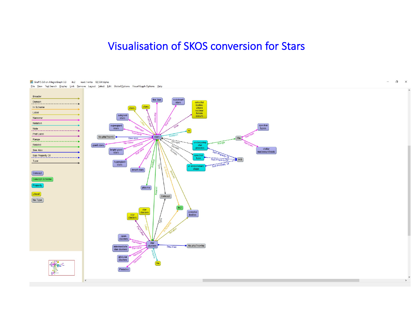### Visualisation of SKOS conversion for Stars

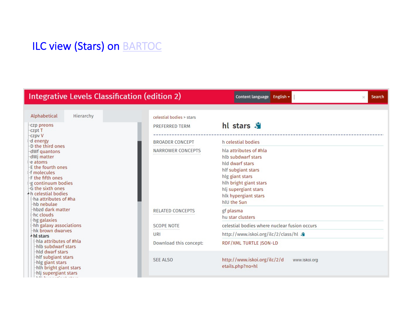## ILC view (Stars) on BARTOC

### **Integrative Levels Classification (edition 2)**

Content language English -

| Alphabetical                                                                                                                 | Hierarchy                                                                                            |  | celestial bodies > stars |                                                                                                                                                                                                   |
|------------------------------------------------------------------------------------------------------------------------------|------------------------------------------------------------------------------------------------------|--|--------------------------|---------------------------------------------------------------------------------------------------------------------------------------------------------------------------------------------------|
| -czp preons<br>-czpt T                                                                                                       |                                                                                                      |  | <b>PREFERRED TERM</b>    | hl stars S                                                                                                                                                                                        |
| -czpv V<br>d energy<br>-D the third ones                                                                                     |                                                                                                      |  | BROADER CONCEPT          | h celestial bodies                                                                                                                                                                                |
| dWf quantons<br>dWi matter<br>e atoms<br><b>E-f molecules</b><br>F the fifth ones<br>G the sixth ones<br>hb nebulae          | -E the fourth ones<br>g continuum bodies<br><sup>4</sup> h celestial bodies<br>⊵ha attributes of #ha |  | NARROWER CONCEPTS        | hla attributes of #hla<br>hlb subdwarf stars<br>hld dwarf stars<br>hlf subgiant stars<br>hlg giant stars<br>hlh bright giant stars<br>hlj supergiant stars<br>hlk hypergiant stars<br>hlu the Sun |
| hbzd dark matter<br>$h$ c clouds<br>hg galaxies                                                                              |                                                                                                      |  | <b>RELATED CONCEPTS</b>  | gf plasma<br>hu star clusters                                                                                                                                                                     |
| hh galaxy associations                                                                                                       |                                                                                                      |  | <b>SCOPE NOTE</b>        | celestial bodies where nuclear fusion occurs                                                                                                                                                      |
| hk brown dwarves<br>+ hl stars                                                                                               |                                                                                                      |  | URI                      | http://www.iskoi.org/ilc/2/class/hl \$                                                                                                                                                            |
| hla attributes of #hla<br>hlb subdwarf stars<br>hld dwarf stars                                                              |                                                                                                      |  | Download this concept:   | RDF/XML TURTLE JSON-LD                                                                                                                                                                            |
| hlf subgiant stars<br>hlg giant stars<br>hlh bright giant stars<br>hlj supergiant stars<br>della della contratta della care- |                                                                                                      |  | <b>SEE ALSO</b>          | http://www.iskoi.org/ilc/2/d<br>www.iskoi.org<br>etails.php?no=hl                                                                                                                                 |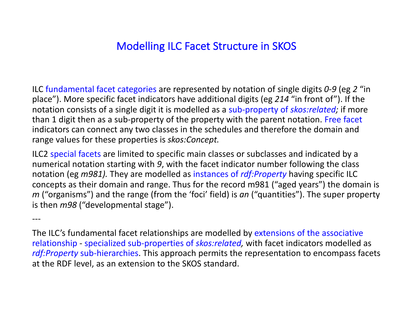## Modelling ILC Facet Structure in SKOS

ILC fundamental facet categories are represented by notation of single digits *0-9* (eg *2* "in place"). More specific facet indicators have additional digits (eg *214* "in front of"). If the notation consists of a single digit it is modelled as a sub-property of *skos:related;* if more than 1 digit then as a sub-property of the property with the parent notation. Free facet indicators can connect any two classes in the schedules and therefore the domain and range values for these properties is *skos:Concept.*

ILC2 special facets are limited to specific main classes or subclasses and indicated by a numerical notation starting with *9*, with the facet indicator number following the class notation (eg *m981).* They are modelled as instances of *rdf:Property* having specific ILC concepts as their domain and range. Thus for the record m981 ("aged years") the domain is *m* ("organisms") and the range (from the 'foci' field) is *an* ("quantities"). The super property is then *m98* ("developmental stage").

---

The ILC's fundamental facet relationships are modelled by extensions of the associative relationship - specialized sub-properties of *skos:related,* with facet indicators modelled as *rdf:Property* sub-hierarchies. This approach permits the representation to encompass facets at the RDF level, as an extension to the SKOS standard.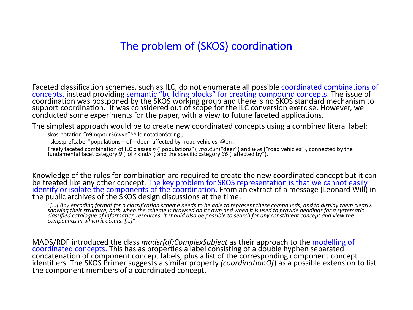## The problem of (SKOS) coordination

Faceted classification schemes, such as ILC, do not enumerate all possible coordinated combinations of concepts, instead providing semantic "building blocks" for creating compound concepts. The issue of coordination was postponed by the SKOS working group and there is no SKOS standard mechanism to support coordination. It was considered out of scope for the ILC conversion exercise. However, we conducted some experiments for the paper, with a view to future faceted applications.

The simplest approach would be to create new coordinated concepts using a combined literal label:

skos:notation "n9mqvtur36wve"^^ilc:notationString ;

skos:prefLabel "populations-of-deer--affected by--road vehicles"@en.

Freely faceted combination of ILC classes n ("populations"), mqvtur ("deer") and wve ("road vehicles"), connected by the fundamental facet category 9 ("of <kind>") and the specific category 36 ("affected by").

Knowledge of the rules for combination are required to create the new coordinated concept but it can be treated like any other concept. The key problem for SKOS representation is that we cannot easily identify or isolate the components of the coordination. From an extract of a message (Leonard Will) in the public archives of the SKOS design discussions at the time:

"[...] Any encoding format for a classification scheme needs to be able to represent these compounds, and to display them clearly,<br>showing their structure, both when the scheme is browsed on its own and when it is used to *classified catalogue of information resources. It should also be possible to search for any constituent concept and view the compounds in which it occurs. […]"* 

MADS/RDF introduced the class *madsrfdf:ComplexSubject* as their approach to the modelling of coordinated concepts. This has as properties a label consisting of a double hyphen separated concatenation of component concept labels, plus a list of the corresponding component concept identifiers. The SKOS Primer suggests a similar property *(coordinationOf)* as a possible extension to list the component members of a coordinated concept.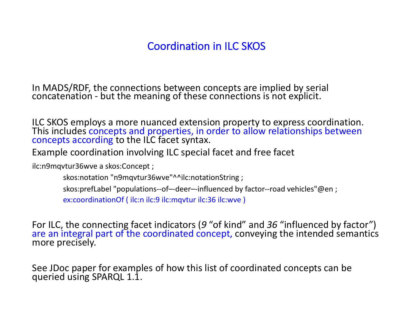## Coordination in ILC SKOS

In MADS/RDF, the connections between concepts are implied by serial concatenation - but the meaning of these connections is not explicit.

ILC SKOS employs a more nuanced extension property to express coordination. This includes concepts and properties, in order to allow relationships between concepts according to the ILC facet syntax.

Example coordination involving ILC special facet and free facet

ilc:n9mqvtur36wve a skos:Concept ;

skos:notation "n9mqvtur36wve"^^ilc:notationString ;

skos:prefLabel "populations--of–-deer–-influenced by factor--road vehicles"@en ;

ex:coordinationOf ( ilc:n ilc:9 ilc:mqvtur ilc:36 ilc:wve )

For ILC, the connecting facet indicators (9 "of kind" and 36 "influenced by factor") are an integral part of the coordinated concept, conveying the intended semantics more precisely.

See JDoc paper for examples of how this list of coordinated concepts can be queried using SPARQL 1.1.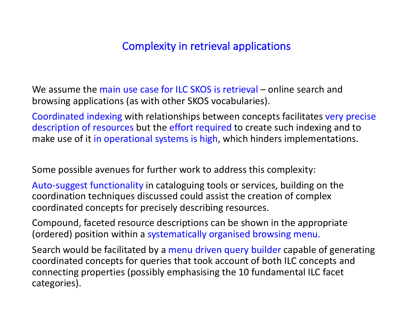## Complexity in retrieval applications

We assume the main use case for ILC SKOS is retrieval – online search and browsing applications (as with other SKOS vocabularies).

Coordinated indexing with relationships between concepts facilitates very precise description of resources but the effort required to create such indexing and to make use of it in operational systems is high, which hinders implementations.

Some possible avenues for further work to address this complexity:

Auto-suggest functionality in cataloguing tools or services, building on the coordination techniques discussed could assist the creation of complex coordinated concepts for precisely describing resources.

Compound, faceted resource descriptions can be shown in the appropriate (ordered) position within a systematically organised browsing menu.

Search would be facilitated by a menu driven query builder capable of generating coordinated concepts for queries that took account of both ILC concepts and connecting properties (possibly emphasising the 10 fundamental ILC facet categories).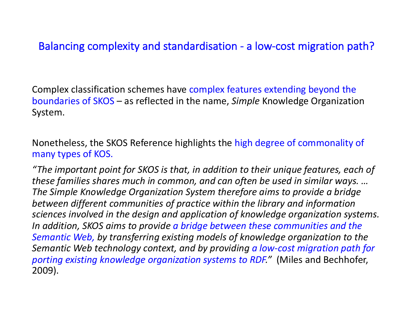## Balancing complexity and standardisation - a low-cost migration path?

Complex classification schemes have complex features extending beyond the boundaries of SKOS – as reflected in the name, *Simple* Knowledge Organization System.

Nonetheless, the SKOS Reference highlights the high degree of commonality of many types of KOS.

*"The important point for SKOS is that, in addition to their unique features, each of these families shares much in common, and can often be used in similar ways. … The Simple Knowledge Organization System therefore aims to provide a bridge between different communities of practice within the library and information sciences involved in the design and application of knowledge organization systems. In addition, SKOS aims to provide a bridge between these communities and the Semantic Web, by transferring existing models of knowledge organization to the Semantic Web technology context, and by providing a low-cost migration path for porting existing knowledge organization systems to RDF."* (Miles and Bechhofer, 2009).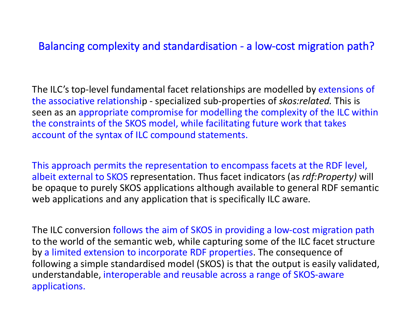## Balancing complexity and standardisation - a low-cost migration path?

The ILC's top-level fundamental facet relationships are modelled by extensions of the associative relationship - specialized sub-properties of *skos:related.* This is seen as an appropriate compromise for modelling the complexity of the ILC within the constraints of the SKOS model, while facilitating future work that takes account of the syntax of ILC compound statements.

This approach permits the representation to encompass facets at the RDF level, albeit external to SKOS representation. Thus facet indicators (as *rdf:Property)* will be opaque to purely SKOS applications although available to general RDF semantic web applications and any application that is specifically ILC aware.

The ILC conversion follows the aim of SKOS in providing a low-cost migration path to the world of the semantic web, while capturing some of the ILC facet structure by a limited extension to incorporate RDF properties. The consequence of following a simple standardised model (SKOS) is that the output is easily validated, understandable, interoperable and reusable across a range of SKOS-aware applications.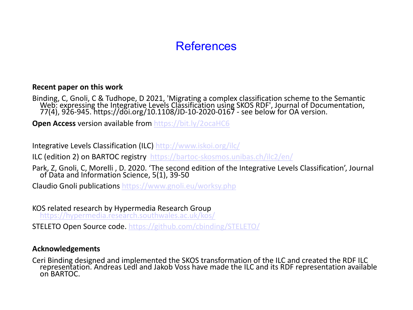## **[References](http://www.iskoi.org/ilc/)**

### **Recent paper on this wor[k](https://www.gnoli.eu/worksy.php)**

Binding, C, Gnoli, C & Tudhope, D 2021, 'Migrating a complex classification scheme to<br>Web: expressing the Integrative Levels Classification using SKOS RDF', Journal of Dc<br>[77\(4\), 926-945.](https://hypermedia.research.southwales.ac.uk/kos/) https://doi.org/10.1108/JD-10-2020-

**Open Access version availab[le from https://bit.ly/2ocaHC6](https://github.com/cbinding/STELETO/)** 

Integrative Levels Classification (ILC) http://www.iskoi.org/ilc/

ILC (edition 2) on BARTOC registry https://bartoc-skosmos.unibas.ch/ilc2/en/

Park, Z, Gnoli, C, Morelli, D. 2020. 'The second edition of the Integrative Levels Classification Science, 5(1), 39-50

Claudio Gnoli publications https://www.gnoli.eu/worksy.php

KOS related research by Hypermedia Research Group https://hypermedia.research.southwales.ac.uk/kos/

STELETO Open Source code. https://github.com/cbinding/STELETO/

### **Acknowledgements**

Ceri Binding designed and implemented the SKOS transformation of the ILC and creat<br>representation. Andreas Ledl and Jakob Voss have made the ILC and its RDF representation. on BARTOC.